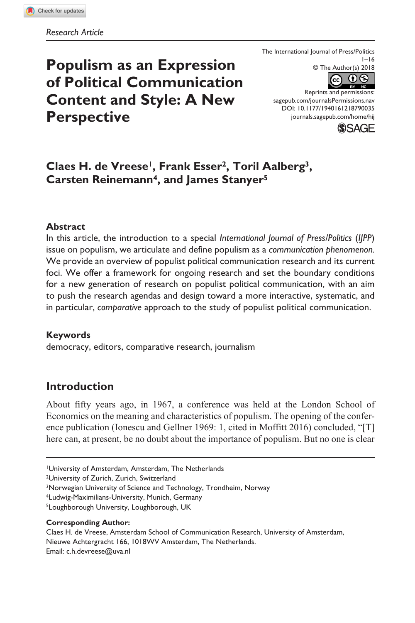# **Populism as an Expression of Political Communication Content and Style: A New Perspective**

The International Journal of Press/Politics  $1 - 16$ © The Author(s) 2018 **@ 0⊗** Reprints and permissions: [sagepub.com/journalsPermissions.nav](https://us.sagepub.com/en-us/journals-permissions) DOI: 10.1177/1940161218790035



## Claes H. de Vreese<sup>1</sup>, Frank Esser<sup>2</sup>, Toril Aalberg<sup>3</sup>, **Carsten Reinemann4, and James Stanyer5**

## **Abstract**

In this article, the introduction to a special *International Journal of Press/Politics* (*IJPP*) issue on populism, we articulate and define populism as a *communication phenomenon.* We provide an overview of populist political communication research and its current foci. We offer a framework for ongoing research and set the boundary conditions for a new generation of research on populist political communication, with an aim to push the research agendas and design toward a more interactive, systematic, and in particular, *comparative* approach to the study of populist political communication.

#### **Keywords**

democracy, editors, comparative research, journalism

## **Introduction**

About fifty years ago, in 1967, a conference was held at the London School of Economics on the meaning and characteristics of populism. The opening of the conference publication (Ionescu and Gellner 1969: 1, cited in Moffitt 2016) concluded, "[T] here can, at present, be no doubt about the importance of populism. But no one is clear

2University of Zurich, Zurich, Switzerland

3Norwegian University of Science and Technology, Trondheim, Norway

4Ludwig-Maximilians-University, Munich, Germany

5Loughborough University, Loughborough, UK

#### **Corresponding Author:**

Claes H. de Vreese, Amsterdam School of Communication Research, University of Amsterdam, Nieuwe Achtergracht 166, 1018WV Amsterdam, The Netherlands. Email: [c.h.devreese@uva.nl](mailto:c.h.devreese@uva.nl)

<sup>1</sup>University of Amsterdam, Amsterdam, The Netherlands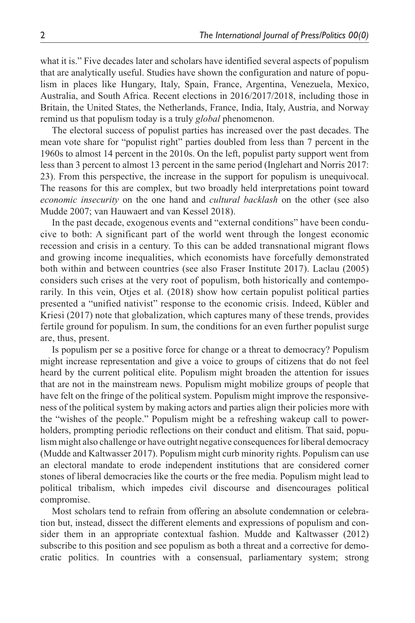what it is." Five decades later and scholars have identified several aspects of populism that are analytically useful. Studies have shown the configuration and nature of populism in places like Hungary, Italy, Spain, France, Argentina, Venezuela, Mexico, Australia, and South Africa. Recent elections in 2016/2017/2018, including those in Britain, the United States, the Netherlands, France, India, Italy, Austria, and Norway remind us that populism today is a truly *global* phenomenon.

The electoral success of populist parties has increased over the past decades. The mean vote share for "populist right" parties doubled from less than 7 percent in the 1960s to almost 14 percent in the 2010s. On the left, populist party support went from less than 3 percent to almost 13 percent in the same period (Inglehart and Norris 2017: 23). From this perspective, the increase in the support for populism is unequivocal. The reasons for this are complex, but two broadly held interpretations point toward *economic insecurity* on the one hand and *cultural backlash* on the other (see also Mudde 2007; van Hauwaert and van Kessel 2018).

In the past decade, exogenous events and "external conditions" have been conducive to both: A significant part of the world went through the longest economic recession and crisis in a century. To this can be added transnational migrant flows and growing income inequalities, which economists have forcefully demonstrated both within and between countries (see also Fraser Institute 2017). Laclau (2005) considers such crises at the very root of populism, both historically and contemporarily. In this vein, Otjes et al. (2018) show how certain populist political parties presented a "unified nativist" response to the economic crisis. Indeed, Kübler and Kriesi (2017) note that globalization, which captures many of these trends, provides fertile ground for populism. In sum, the conditions for an even further populist surge are, thus, present.

Is populism per se a positive force for change or a threat to democracy? Populism might increase representation and give a voice to groups of citizens that do not feel heard by the current political elite. Populism might broaden the attention for issues that are not in the mainstream news. Populism might mobilize groups of people that have felt on the fringe of the political system. Populism might improve the responsiveness of the political system by making actors and parties align their policies more with the "wishes of the people." Populism might be a refreshing wakeup call to powerholders, prompting periodic reflections on their conduct and elitism. That said, populism might also challenge or have outright negative consequences for liberal democracy (Mudde and Kaltwasser 2017). Populism might curb minority rights. Populism can use an electoral mandate to erode independent institutions that are considered corner stones of liberal democracies like the courts or the free media. Populism might lead to political tribalism, which impedes civil discourse and disencourages political compromise.

Most scholars tend to refrain from offering an absolute condemnation or celebration but, instead, dissect the different elements and expressions of populism and consider them in an appropriate contextual fashion. Mudde and Kaltwasser (2012) subscribe to this position and see populism as both a threat and a corrective for democratic politics. In countries with a consensual, parliamentary system; strong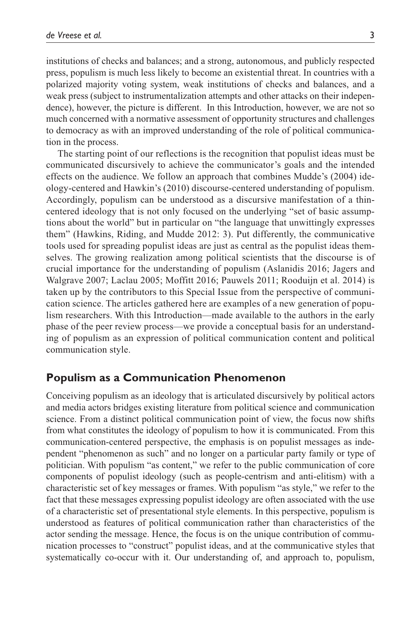institutions of checks and balances; and a strong, autonomous, and publicly respected press, populism is much less likely to become an existential threat. In countries with a polarized majority voting system, weak institutions of checks and balances, and a weak press (subject to instrumentalization attempts and other attacks on their independence), however, the picture is different. In this Introduction, however, we are not so much concerned with a normative assessment of opportunity structures and challenges to democracy as with an improved understanding of the role of political communication in the process.

The starting point of our reflections is the recognition that populist ideas must be communicated discursively to achieve the communicator's goals and the intended effects on the audience. We follow an approach that combines Mudde's (2004) ideology-centered and Hawkin's (2010) discourse-centered understanding of populism. Accordingly, populism can be understood as a discursive manifestation of a thincentered ideology that is not only focused on the underlying "set of basic assumptions about the world" but in particular on "the language that unwittingly expresses them" (Hawkins, Riding, and Mudde 2012: 3). Put differently, the communicative tools used for spreading populist ideas are just as central as the populist ideas themselves. The growing realization among political scientists that the discourse is of crucial importance for the understanding of populism (Aslanidis 2016; Jagers and Walgrave 2007; Laclau 2005; Moffitt 2016; Pauwels 2011; Rooduijn et al. 2014) is taken up by the contributors to this Special Issue from the perspective of communication science. The articles gathered here are examples of a new generation of populism researchers. With this Introduction—made available to the authors in the early phase of the peer review process—we provide a conceptual basis for an understanding of populism as an expression of political communication content and political communication style.

#### **Populism as a Communication Phenomenon**

Conceiving populism as an ideology that is articulated discursively by political actors and media actors bridges existing literature from political science and communication science. From a distinct political communication point of view, the focus now shifts from what constitutes the ideology of populism to how it is communicated. From this communication-centered perspective, the emphasis is on populist messages as independent "phenomenon as such" and no longer on a particular party family or type of politician. With populism "as content," we refer to the public communication of core components of populist ideology (such as people-centrism and anti-elitism) with a characteristic set of key messages or frames. With populism "as style," we refer to the fact that these messages expressing populist ideology are often associated with the use of a characteristic set of presentational style elements. In this perspective, populism is understood as features of political communication rather than characteristics of the actor sending the message. Hence, the focus is on the unique contribution of communication processes to "construct" populist ideas, and at the communicative styles that systematically co-occur with it. Our understanding of, and approach to, populism,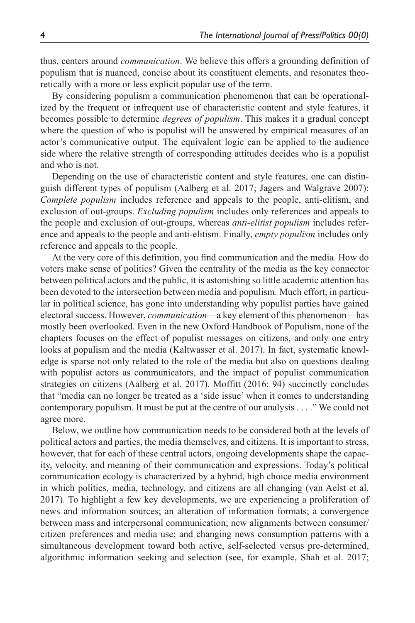thus, centers around *communication*. We believe this offers a grounding definition of populism that is nuanced, concise about its constituent elements, and resonates theoretically with a more or less explicit popular use of the term.

By considering populism a communication phenomenon that can be operationalized by the frequent or infrequent use of characteristic content and style features, it becomes possible to determine *degrees of populism*. This makes it a gradual concept where the question of who is populist will be answered by empirical measures of an actor's communicative output. The equivalent logic can be applied to the audience side where the relative strength of corresponding attitudes decides who is a populist and who is not.

Depending on the use of characteristic content and style features, one can distinguish different types of populism (Aalberg et al. 2017; Jagers and Walgrave 2007): *Complete populism* includes reference and appeals to the people, anti-elitism, and exclusion of out-groups. *Excluding populism* includes only references and appeals to the people and exclusion of out-groups, whereas *anti-elitist populism* includes reference and appeals to the people and anti-elitism. Finally, *empty populism* includes only reference and appeals to the people.

At the very core of this definition, you find communication and the media. How do voters make sense of politics? Given the centrality of the media as the key connector between political actors and the public, it is astonishing so little academic attention has been devoted to the intersection between media and populism. Much effort, in particular in political science, has gone into understanding why populist parties have gained electoral success. However, *communication*—a key element of this phenomenon—has mostly been overlooked. Even in the new Oxford Handbook of Populism, none of the chapters focuses on the effect of populist messages on citizens, and only one entry looks at populism and the media (Kaltwasser et al. 2017). In fact, systematic knowledge is sparse not only related to the role of the media but also on questions dealing with populist actors as communicators, and the impact of populist communication strategies on citizens (Aalberg et al. 2017). Moffitt (2016: 94) succinctly concludes that "media can no longer be treated as a 'side issue' when it comes to understanding contemporary populism. It must be put at the centre of our analysis . . . ." We could not agree more.

Below, we outline how communication needs to be considered both at the levels of political actors and parties, the media themselves, and citizens. It is important to stress, however, that for each of these central actors, ongoing developments shape the capacity, velocity, and meaning of their communication and expressions. Today's political communication ecology is characterized by a hybrid, high choice media environment in which politics, media, technology, and citizens are all changing (van Aelst et al. 2017). To highlight a few key developments, we are experiencing a proliferation of news and information sources; an alteration of information formats; a convergence between mass and interpersonal communication; new alignments between consumer/ citizen preferences and media use; and changing news consumption patterns with a simultaneous development toward both active, self-selected versus pre-determined, algorithmic information seeking and selection (see, for example, Shah et al. 2017;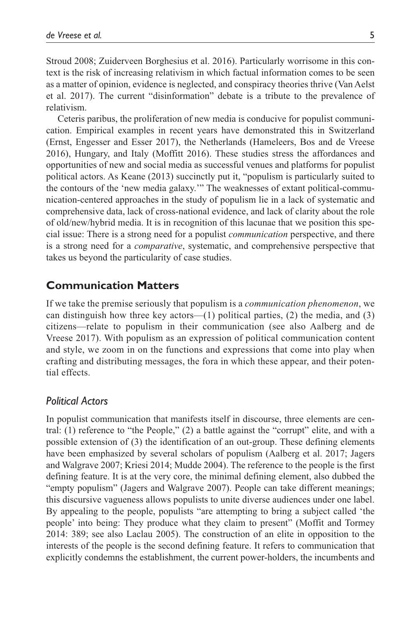Stroud 2008; Zuiderveen Borghesius et al. 2016). Particularly worrisome in this context is the risk of increasing relativism in which factual information comes to be seen as a matter of opinion, evidence is neglected, and conspiracy theories thrive (Van Aelst et al. 2017). The current "disinformation" debate is a tribute to the prevalence of relativism.

Ceteris paribus, the proliferation of new media is conducive for populist communication. Empirical examples in recent years have demonstrated this in Switzerland (Ernst, Engesser and Esser 2017), the Netherlands (Hameleers, Bos and de Vreese 2016), Hungary, and Italy (Moffitt 2016). These studies stress the affordances and opportunities of new and social media as successful venues and platforms for populist political actors. As Keane (2013) succinctly put it, "populism is particularly suited to the contours of the 'new media galaxy.'" The weaknesses of extant political-communication-centered approaches in the study of populism lie in a lack of systematic and comprehensive data, lack of cross-national evidence, and lack of clarity about the role of old/new/hybrid media. It is in recognition of this lacunae that we position this special issue: There is a strong need for a populist *communication* perspective, and there is a strong need for a *comparative*, systematic, and comprehensive perspective that takes us beyond the particularity of case studies.

## **Communication Matters**

If we take the premise seriously that populism is a *communication phenomenon*, we can distinguish how three key actors— $(1)$  political parties,  $(2)$  the media, and  $(3)$ citizens—relate to populism in their communication (see also Aalberg and de Vreese 2017). With populism as an expression of political communication content and style, we zoom in on the functions and expressions that come into play when crafting and distributing messages, the fora in which these appear, and their potential effects.

#### *Political Actors*

In populist communication that manifests itself in discourse, three elements are central: (1) reference to "the People," (2) a battle against the "corrupt" elite, and with a possible extension of (3) the identification of an out-group. These defining elements have been emphasized by several scholars of populism (Aalberg et al. 2017; Jagers and Walgrave 2007; Kriesi 2014; Mudde 2004). The reference to the people is the first defining feature. It is at the very core, the minimal defining element, also dubbed the "empty populism" (Jagers and Walgrave 2007). People can take different meanings; this discursive vagueness allows populists to unite diverse audiences under one label. By appealing to the people, populists "are attempting to bring a subject called 'the people' into being: They produce what they claim to present" (Moffit and Tormey 2014: 389; see also Laclau 2005). The construction of an elite in opposition to the interests of the people is the second defining feature. It refers to communication that explicitly condemns the establishment, the current power-holders, the incumbents and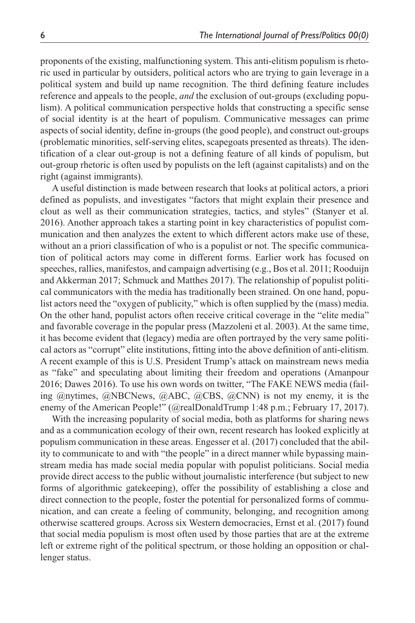proponents of the existing, malfunctioning system. This anti-elitism populism is rhetoric used in particular by outsiders, political actors who are trying to gain leverage in a political system and build up name recognition. The third defining feature includes reference and appeals to the people, *and* the exclusion of out-groups (excluding populism). A political communication perspective holds that constructing a specific sense of social identity is at the heart of populism. Communicative messages can prime aspects of social identity, define in-groups (the good people), and construct out-groups (problematic minorities, self-serving elites, scapegoats presented as threats). The identification of a clear out-group is not a defining feature of all kinds of populism, but out-group rhetoric is often used by populists on the left (against capitalists) and on the right (against immigrants).

A useful distinction is made between research that looks at political actors, a priori defined as populists, and investigates "factors that might explain their presence and clout as well as their communication strategies, tactics, and styles" (Stanyer et al. 2016). Another approach takes a starting point in key characteristics of populist communication and then analyzes the extent to which different actors make use of these, without an a priori classification of who is a populist or not. The specific communication of political actors may come in different forms. Earlier work has focused on speeches, rallies, manifestos, and campaign advertising (e.g., Bos et al. 2011; Rooduijn and Akkerman 2017; Schmuck and Matthes 2017). The relationship of populist political communicators with the media has traditionally been strained. On one hand, populist actors need the "oxygen of publicity," which is often supplied by the (mass) media. On the other hand, populist actors often receive critical coverage in the "elite media" and favorable coverage in the popular press (Mazzoleni et al. 2003). At the same time, it has become evident that (legacy) media are often portrayed by the very same political actors as "corrupt" elite institutions, fitting into the above definition of anti-elitism. A recent example of this is U.S. President Trump's attack on mainstream news media as "fake" and speculating about limiting their freedom and operations (Amanpour 2016; Dawes 2016). To use his own words on twitter, "The FAKE NEWS media (failing @nytimes, @NBCNews, @ABC, @CBS, @CNN) is not my enemy, it is the enemy of the American People!" (@realDonaldTrump 1:48 p.m.; February 17, 2017).

With the increasing popularity of social media, both as platforms for sharing news and as a communication ecology of their own, recent research has looked explicitly at populism communication in these areas. Engesser et al. (2017) concluded that the ability to communicate to and with "the people" in a direct manner while bypassing mainstream media has made social media popular with populist politicians. Social media provide direct access to the public without journalistic interference (but subject to new forms of algorithmic gatekeeping), offer the possibility of establishing a close and direct connection to the people, foster the potential for personalized forms of communication, and can create a feeling of community, belonging, and recognition among otherwise scattered groups. Across six Western democracies, Ernst et al. (2017) found that social media populism is most often used by those parties that are at the extreme left or extreme right of the political spectrum, or those holding an opposition or challenger status.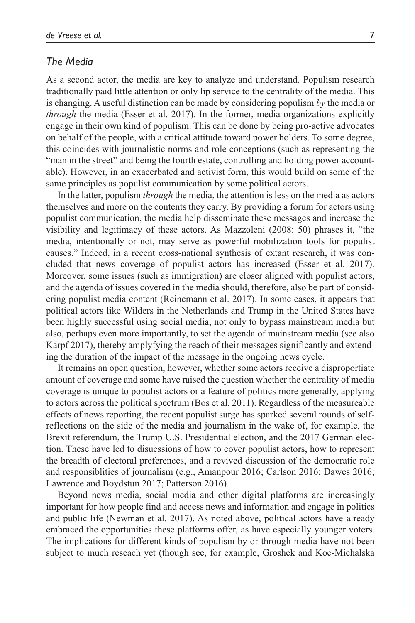## *The Media*

As a second actor, the media are key to analyze and understand. Populism research traditionally paid little attention or only lip service to the centrality of the media. This is changing. A useful distinction can be made by considering populism *by* the media or *through* the media (Esser et al. 2017). In the former, media organizations explicitly engage in their own kind of populism. This can be done by being pro-active advocates on behalf of the people, with a critical attitude toward power holders. To some degree, this coincides with journalistic norms and role conceptions (such as representing the "man in the street" and being the fourth estate, controlling and holding power accountable). However, in an exacerbated and activist form, this would build on some of the same principles as populist communication by some political actors.

In the latter, populism *through* the media, the attention is less on the media as actors themselves and more on the contents they carry. By providing a forum for actors using populist communication, the media help disseminate these messages and increase the visibility and legitimacy of these actors. As Mazzoleni (2008: 50) phrases it, "the media, intentionally or not, may serve as powerful mobilization tools for populist causes." Indeed, in a recent cross-national synthesis of extant research, it was concluded that news coverage of populist actors has increased (Esser et al. 2017). Moreover, some issues (such as immigration) are closer aligned with populist actors, and the agenda of issues covered in the media should, therefore, also be part of considering populist media content (Reinemann et al. 2017). In some cases, it appears that political actors like Wilders in the Netherlands and Trump in the United States have been highly successful using social media, not only to bypass mainstream media but also, perhaps even more importantly, to set the agenda of mainstream media (see also Karpf 2017), thereby amplyfying the reach of their messages significantly and extending the duration of the impact of the message in the ongoing news cycle.

It remains an open question, however, whether some actors receive a disproportiate amount of coverage and some have raised the question whether the centrality of media coverage is unique to populist actors or a feature of politics more generally, applying to actors across the political spectrum (Bos et al. 2011). Regardless of the measureable effects of news reporting, the recent populist surge has sparked several rounds of selfreflections on the side of the media and journalism in the wake of, for example, the Brexit referendum, the Trump U.S. Presidential election, and the 2017 German election. These have led to disucssions of how to cover populist actors, how to represent the breadth of electoral preferences, and a revived discussion of the democratic role and responsiblities of journalism (e.g., Amanpour 2016; Carlson 2016; Dawes 2016; Lawrence and Boydstun 2017; Patterson 2016).

Beyond news media, social media and other digital platforms are increasingly important for how people find and access news and information and engage in politics and public life (Newman et al. 2017). As noted above, political actors have already embraced the opportunities these platforms offer, as have especially younger voters. The implications for different kinds of populism by or through media have not been subject to much reseach yet (though see, for example, Groshek and Koc-Michalska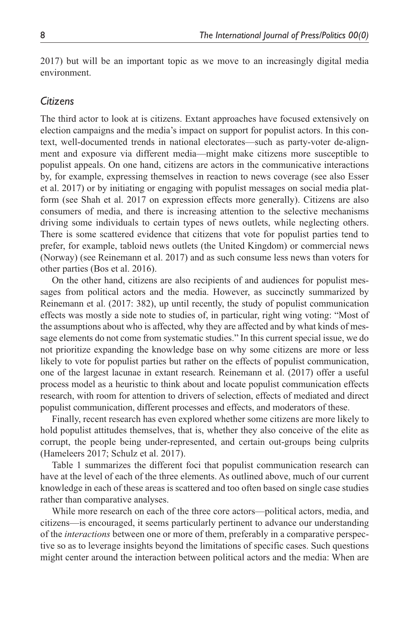2017) but will be an important topic as we move to an increasingly digital media environment.

## *Citizens*

The third actor to look at is citizens. Extant approaches have focused extensively on election campaigns and the media's impact on support for populist actors. In this context, well-documented trends in national electorates—such as party-voter de-alignment and exposure via different media—might make citizens more susceptible to populist appeals. On one hand, citizens are actors in the communicative interactions by, for example, expressing themselves in reaction to news coverage (see also Esser et al. 2017) or by initiating or engaging with populist messages on social media platform (see Shah et al. 2017 on expression effects more generally). Citizens are also consumers of media, and there is increasing attention to the selective mechanisms driving some individuals to certain types of news outlets, while neglecting others. There is some scattered evidence that citizens that vote for populist parties tend to prefer, for example, tabloid news outlets (the United Kingdom) or commercial news (Norway) (see Reinemann et al. 2017) and as such consume less news than voters for other parties (Bos et al. 2016).

On the other hand, citizens are also recipients of and audiences for populist messages from political actors and the media. However, as succinctly summarized by Reinemann et al. (2017: 382), up until recently, the study of populist communication effects was mostly a side note to studies of, in particular, right wing voting: "Most of the assumptions about who is affected, why they are affected and by what kinds of message elements do not come from systematic studies." In this current special issue, we do not prioritize expanding the knowledge base on why some citizens are more or less likely to vote for populist parties but rather on the effects of populist communication, one of the largest lacunae in extant research. Reinemann et al. (2017) offer a useful process model as a heuristic to think about and locate populist communication effects research, with room for attention to drivers of selection, effects of mediated and direct populist communication, different processes and effects, and moderators of these.

Finally, recent research has even explored whether some citizens are more likely to hold populist attitudes themselves, that is, whether they also conceive of the elite as corrupt, the people being under-represented, and certain out-groups being culprits (Hameleers 2017; Schulz et al. 2017).

Table 1 summarizes the different foci that populist communication research can have at the level of each of the three elements. As outlined above, much of our current knowledge in each of these areas is scattered and too often based on single case studies rather than comparative analyses.

While more research on each of the three core actors—political actors, media, and citizens—is encouraged, it seems particularly pertinent to advance our understanding of the *interactions* between one or more of them, preferably in a comparative perspective so as to leverage insights beyond the limitations of specific cases. Such questions might center around the interaction between political actors and the media: When are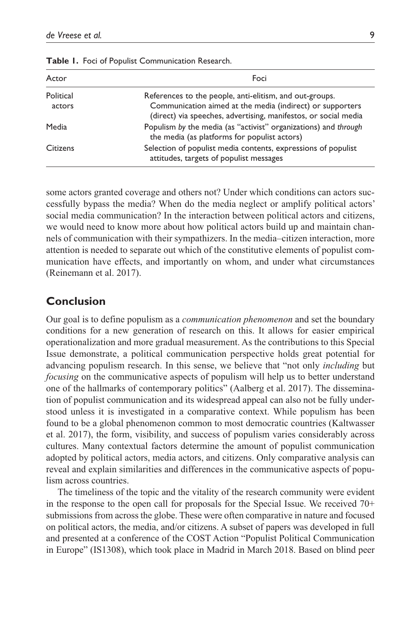| Actor           | Foci                                                                                                                         |
|-----------------|------------------------------------------------------------------------------------------------------------------------------|
| Political       | References to the people, anti-elitism, and out-groups.                                                                      |
| actors          | Communication aimed at the media (indirect) or supporters<br>(direct) via speeches, advertising, manifestos, or social media |
| Media           | Populism by the media (as "activist" organizations) and through<br>the media (as platforms for populist actors)              |
| <b>Citizens</b> | Selection of populist media contents, expressions of populist<br>attitudes, targets of populist messages                     |

**Table 1.** Foci of Populist Communication Research.

some actors granted coverage and others not? Under which conditions can actors successfully bypass the media? When do the media neglect or amplify political actors' social media communication? In the interaction between political actors and citizens, we would need to know more about how political actors build up and maintain channels of communication with their sympathizers. In the media–citizen interaction, more attention is needed to separate out which of the constitutive elements of populist communication have effects, and importantly on whom, and under what circumstances (Reinemann et al. 2017).

## **Conclusion**

Our goal is to define populism as a *communication phenomenon* and set the boundary conditions for a new generation of research on this. It allows for easier empirical operationalization and more gradual measurement. As the contributions to this Special Issue demonstrate, a political communication perspective holds great potential for advancing populism research. In this sense, we believe that "not only *including* but *focusing* on the communicative aspects of populism will help us to better understand one of the hallmarks of contemporary politics" (Aalberg et al. 2017). The dissemination of populist communication and its widespread appeal can also not be fully understood unless it is investigated in a comparative context. While populism has been found to be a global phenomenon common to most democratic countries (Kaltwasser et al. 2017), the form, visibility, and success of populism varies considerably across cultures. Many contextual factors determine the amount of populist communication adopted by political actors, media actors, and citizens. Only comparative analysis can reveal and explain similarities and differences in the communicative aspects of populism across countries.

The timeliness of the topic and the vitality of the research community were evident in the response to the open call for proposals for the Special Issue. We received 70+ submissions from across the globe. These were often comparative in nature and focused on political actors, the media, and/or citizens. A subset of papers was developed in full and presented at a conference of the COST Action "Populist Political Communication in Europe" (IS1308), which took place in Madrid in March 2018. Based on blind peer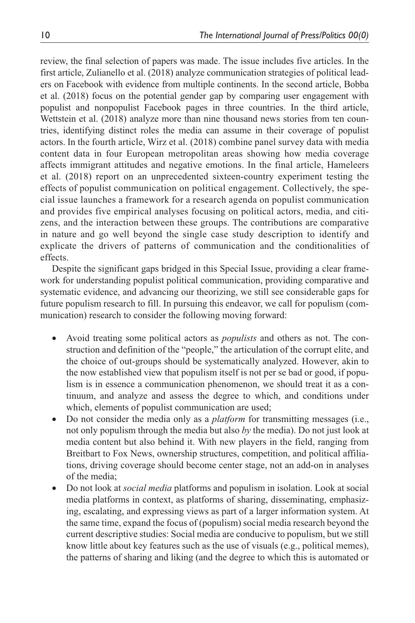review, the final selection of papers was made. The issue includes five articles. In the first article, Zulianello et al. (2018) analyze communication strategies of political leaders on Facebook with evidence from multiple continents. In the second article, Bobba et al. (2018) focus on the potential gender gap by comparing user engagement with populist and nonpopulist Facebook pages in three countries. In the third article, Wettstein et al. (2018) analyze more than nine thousand news stories from ten countries, identifying distinct roles the media can assume in their coverage of populist actors. In the fourth article, Wirz et al. (2018) combine panel survey data with media content data in four European metropolitan areas showing how media coverage affects immigrant attitudes and negative emotions. In the final article, Hameleers et al. (2018) report on an unprecedented sixteen-country experiment testing the effects of populist communication on political engagement. Collectively, the special issue launches a framework for a research agenda on populist communication and provides five empirical analyses focusing on political actors, media, and citizens, and the interaction between these groups. The contributions are comparative in nature and go well beyond the single case study description to identify and explicate the drivers of patterns of communication and the conditionalities of effects.

Despite the significant gaps bridged in this Special Issue, providing a clear framework for understanding populist political communication, providing comparative and systematic evidence, and advancing our theorizing, we still see considerable gaps for future populism research to fill. In pursuing this endeavor, we call for populism (communication) research to consider the following moving forward:

- Avoid treating some political actors as *populists* and others as not. The construction and definition of the "people," the articulation of the corrupt elite, and the choice of out-groups should be systematically analyzed. However, akin to the now established view that populism itself is not per se bad or good, if populism is in essence a communication phenomenon, we should treat it as a continuum, and analyze and assess the degree to which, and conditions under which, elements of populist communication are used;
- Do not consider the media only as a *platform* for transmitting messages (i.e., not only populism through the media but also *by* the media). Do not just look at media content but also behind it. With new players in the field, ranging from Breitbart to Fox News, ownership structures, competition, and political affiliations, driving coverage should become center stage, not an add-on in analyses of the media;
- Do not look at *social media* platforms and populism in isolation. Look at social media platforms in context, as platforms of sharing, disseminating, emphasizing, escalating, and expressing views as part of a larger information system. At the same time, expand the focus of (populism) social media research beyond the current descriptive studies: Social media are conducive to populism, but we still know little about key features such as the use of visuals (e.g., political memes), the patterns of sharing and liking (and the degree to which this is automated or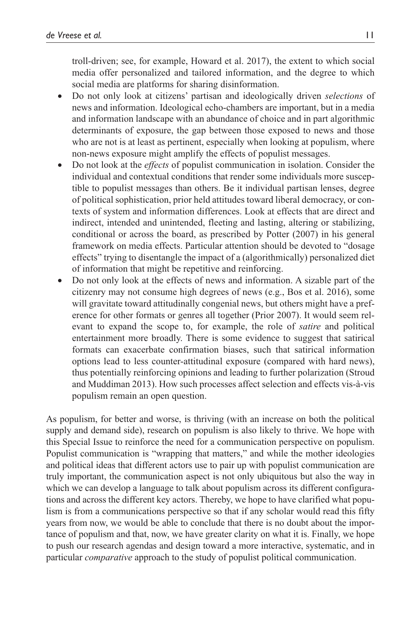troll-driven; see, for example, Howard et al. 2017), the extent to which social media offer personalized and tailored information, and the degree to which social media are platforms for sharing disinformation.

- Do not only look at citizens' partisan and ideologically driven *selections* of news and information. Ideological echo-chambers are important, but in a media and information landscape with an abundance of choice and in part algorithmic determinants of exposure, the gap between those exposed to news and those who are not is at least as pertinent, especially when looking at populism, where non-news exposure might amplify the effects of populist messages.
- Do not look at the *effects* of populist communication in isolation. Consider the individual and contextual conditions that render some individuals more susceptible to populist messages than others. Be it individual partisan lenses, degree of political sophistication, prior held attitudes toward liberal democracy, or contexts of system and information differences. Look at effects that are direct and indirect, intended and unintended, fleeting and lasting, altering or stabilizing, conditional or across the board, as prescribed by Potter (2007) in his general framework on media effects. Particular attention should be devoted to "dosage effects" trying to disentangle the impact of a (algorithmically) personalized diet of information that might be repetitive and reinforcing.
- Do not only look at the effects of news and information. A sizable part of the citizenry may not consume high degrees of news (e.g., Bos et al. 2016), some will gravitate toward attitudinally congenial news, but others might have a preference for other formats or genres all together (Prior 2007). It would seem relevant to expand the scope to, for example, the role of *satire* and political entertainment more broadly. There is some evidence to suggest that satirical formats can exacerbate confirmation biases, such that satirical information options lead to less counter-attitudinal exposure (compared with hard news), thus potentially reinforcing opinions and leading to further polarization (Stroud and Muddiman 2013). How such processes affect selection and effects vis-à-vis populism remain an open question.

As populism, for better and worse, is thriving (with an increase on both the political supply and demand side), research on populism is also likely to thrive. We hope with this Special Issue to reinforce the need for a communication perspective on populism. Populist communication is "wrapping that matters," and while the mother ideologies and political ideas that different actors use to pair up with populist communication are truly important, the communication aspect is not only ubiquitous but also the way in which we can develop a language to talk about populism across its different configurations and across the different key actors. Thereby, we hope to have clarified what populism is from a communications perspective so that if any scholar would read this fifty years from now, we would be able to conclude that there is no doubt about the importance of populism and that, now, we have greater clarity on what it is. Finally, we hope to push our research agendas and design toward a more interactive, systematic, and in particular *comparative* approach to the study of populist political communication.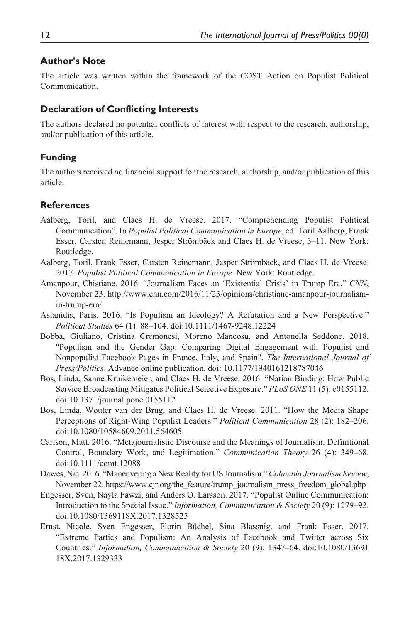## **Author's Note**

The article was written within the framework of the COST Action on Populist Political Communication.

#### **Declaration of Conflicting Interests**

The authors declared no potential conflicts of interest with respect to the research, authorship, and/or publication of this article.

## **Funding**

The authors received no financial support for the research, authorship, and/or publication of this article.

## **References**

- Aalberg, Toril, and Claes H. de Vreese. 2017. "Comprehending Populist Political Communication". In *Populist Political Communication in Europe*, ed. Toril Aalberg, Frank Esser, Carsten Reinemann, Jesper Strömbäck and Claes H. de Vreese, 3–11. New York: Routledge.
- Aalberg, Toril, Frank Esser, Carsten Reinemann, Jesper Strömbäck, and Claes H. de Vreese. 2017. *Populist Political Communication in Europe*. New York: Routledge.
- Amanpour, Chistiane. 2016. "Journalism Faces an 'Existential Crisis' in Trump Era." *CNN*, November 23. [http://www.cnn.com/2016/11/23/opinions/christiane-amanpour-journalism](http://www.cnn.com/2016/11/23/opinions/christiane-amanpour-journalism-in-trump-era/)[in-trump-era/](http://www.cnn.com/2016/11/23/opinions/christiane-amanpour-journalism-in-trump-era/)
- Aslanidis, Paris. 2016. "Is Populism an Ideology? A Refutation and a New Perspective." *Political Studies* 64 (1): 88–104. doi:10.1111/1467-9248.12224
- Bobba, Giuliano, Cristina Cremonesi, Moreno Mancosu, and Antonella Seddone. 2018. "Populism and the Gender Gap: Comparing Digital Engagement with Populist and Nonpopulist Facebook Pages in France, Italy, and Spain". *The International Journal of Press/Politics*. Advance online publication. doi: 10.1177/1940161218787046
- Bos, Linda, Sanne Kruikemeier, and Claes H. de Vreese. 2016. "Nation Binding: How Public Service Broadcasting Mitigates Political Selective Exposure." *PLoS ONE* 11 (5): e0155112. doi:10.1371/journal.pone.0155112
- Bos, Linda, Wouter van der Brug, and Claes H. de Vreese. 2011. "How the Media Shape Perceptions of Right-Wing Populist Leaders." *Political Communication* 28 (2): 182–206. doi:10.1080/10584609.2011.564605
- Carlson, Matt. 2016. "Metajournalistic Discourse and the Meanings of Journalism: Definitional Control, Boundary Work, and Legitimation." *Communication Theory* 26 (4): 349–68. doi:10.1111/comt.12088
- Dawes, Nic. 2016. "Maneuvering a New Reality for US Journalism." *Columbia Journalism Review*, November 22. [https://www.cjr.org/the\\_feature/trump\\_journalism\\_press\\_freedom\\_global.php](https://www.cjr.org/the_feature/trump_journalism_press_freedom_global.php)
- Engesser, Sven, Nayla Fawzi, and Anders O. Larsson. 2017. "Populist Online Communication: Introduction to the Special Issue." *Information, Communication & Society* 20 (9): 1279–92. doi:10.1080/1369118X.2017.1328525
- Ernst, Nicole, Sven Engesser, Florin Büchel, Sina Blassnig, and Frank Esser. 2017. "Extreme Parties and Populism: An Analysis of Facebook and Twitter across Six Countries." *Information, Communication & Society* 20 (9): 1347–64. doi:10.1080/13691 18X.2017.1329333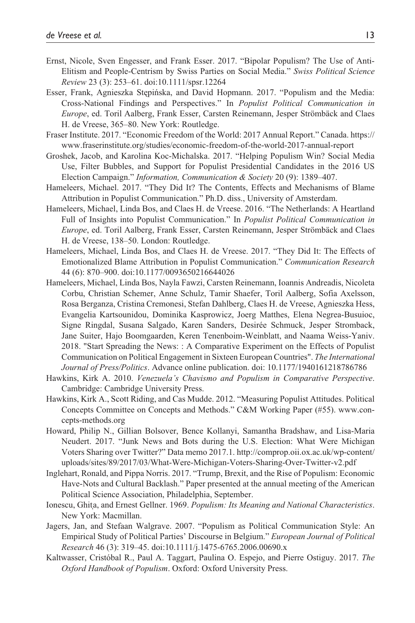- Ernst, Nicole, Sven Engesser, and Frank Esser. 2017. "Bipolar Populism? The Use of Anti-Elitism and People-Centrism by Swiss Parties on Social Media." *Swiss Political Science Review* 23 (3): 253–61. doi:10.1111/spsr.12264
- Esser, Frank, Agnieszka Stępińska, and David Hopmann. 2017. "Populism and the Media: Cross-National Findings and Perspectives." In *Populist Political Communication in Europe*, ed. Toril Aalberg, Frank Esser, Carsten Reinemann, Jesper Strömbäck and Claes H. de Vreese, 365–80. New York: Routledge.
- Fraser Institute. 2017. "Economic Freedom of the World: 2017 Annual Report." Canada. [https://](https://www.fraserinstitute.org/studies/economic-freedom-of-the-world-2017-annual-report) [www.fraserinstitute.org/studies/economic-freedom-of-the-world-2017-annual-report](https://www.fraserinstitute.org/studies/economic-freedom-of-the-world-2017-annual-report)
- Groshek, Jacob, and Karolina Koc-Michalska. 2017. "Helping Populism Win? Social Media Use, Filter Bubbles, and Support for Populist Presidential Candidates in the 2016 US Election Campaign." *Information, Communication & Society* 20 (9): 1389–407.
- Hameleers, Michael. 2017. "They Did It? The Contents, Effects and Mechanisms of Blame Attribution in Populist Communication." Ph.D. diss., University of Amsterdam.
- Hameleers, Michael, Linda Bos, and Claes H. de Vreese. 2016. "The Netherlands: A Heartland Full of Insights into Populist Communication." In *Populist Political Communication in Europe*, ed. Toril Aalberg, Frank Esser, Carsten Reinemann, Jesper Strömbäck and Claes H. de Vreese, 138–50. London: Routledge.
- Hameleers, Michael, Linda Bos, and Claes H. de Vreese. 2017. "They Did It: The Effects of Emotionalized Blame Attribution in Populist Communication." *Communication Research* 44 (6): 870–900. doi:10.1177/0093650216644026
- Hameleers, Michael, Linda Bos, Nayla Fawzi, Carsten Reinemann, Ioannis Andreadis, Nicoleta Corbu, Christian Schemer, Anne Schulz, Tamir Shaefer, Toril Aalberg, Sofia Axelsson, Rosa Berganza, Cristina Cremonesi, Stefan Dahlberg, Claes H. de Vreese, Agnieszka Hess, Evangelia Kartsounidou, Dominika Kasprowicz, Joerg Matthes, Elena Negrea-Busuioc, Signe Ringdal, Susana Salgado, Karen Sanders, Desirée Schmuck, Jesper Stromback, Jane Suiter, Hajo Boomgaarden, Keren Tenenboim-Weinblatt, and Naama Weiss-Yaniv. 2018. "Start Spreading the News: : A Comparative Experiment on the Effects of Populist Communication on Political Engagement in Sixteen European Countries". *The International Journal of Press/Politics*. Advance online publication. doi: 10.1177/1940161218786786
- Hawkins, Kirk A. 2010. *Venezuela's Chavismo and Populism in Comparative Perspective*. Cambridge: Cambridge University Press.
- Hawkins, Kirk A., Scott Riding, and Cas Mudde. 2012. "Measuring Populist Attitudes. Political Concepts Committee on Concepts and Methods." C&M Working Paper (#55). [www.con](www.concepts-methods.org)[cepts-methods.org](www.concepts-methods.org)
- Howard, Philip N., Gillian Bolsover, Bence Kollanyi, Samantha Bradshaw, and Lisa-Maria Neudert. 2017. "Junk News and Bots during the U.S. Election: What Were Michigan Voters Sharing over Twitter?" Data memo 2017.1. [http://comprop.oii.ox.ac.uk/wp-content/](http://comprop.oii.ox.ac.uk/wp-content/uploads/sites/89/2017/03/What-Were-Michigan-Voters-Sharing-Over-Twitter-v2.pdf) [uploads/sites/89/2017/03/What-Were-Michigan-Voters-Sharing-Over-Twitter-v2.pdf](http://comprop.oii.ox.ac.uk/wp-content/uploads/sites/89/2017/03/What-Were-Michigan-Voters-Sharing-Over-Twitter-v2.pdf)
- Inglehart, Ronald, and Pippa Norris. 2017. "Trump, Brexit, and the Rise of Populism: Economic Have-Nots and Cultural Backlash." Paper presented at the annual meeting of the American Political Science Association, Philadelphia, September.
- Ionescu, Ghita, and Ernest Gellner. 1969. *Populism: Its Meaning and National Characteristics*. New York: Macmillan.
- Jagers, Jan, and Stefaan Walgrave. 2007. "Populism as Political Communication Style: An Empirical Study of Political Parties' Discourse in Belgium." *European Journal of Political Research* 46 (3): 319–45. doi:10.1111/j.1475-6765.2006.00690.x
- Kaltwasser, Cristóbal R., Paul A. Taggart, Paulina O. Espejo, and Pierre Ostiguy. 2017. *The Oxford Handbook of Populism*. Oxford: Oxford University Press.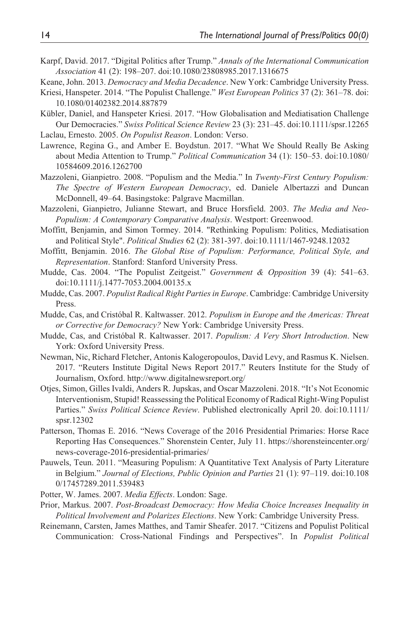- Karpf, David. 2017. "Digital Politics after Trump." *Annals of the International Communication Association* 41 (2): 198–207. doi:10.1080/23808985.2017.1316675
- Keane, John. 2013. *Democracy and Media Decadence*. New York: Cambridge University Press.
- Kriesi, Hanspeter. 2014. "The Populist Challenge." *West European Politics* 37 (2): 361–78. doi: 10.1080/01402382.2014.887879
- Kübler, Daniel, and Hanspeter Kriesi. 2017. "How Globalisation and Mediatisation Challenge Our Democracies." *Swiss Political Science Review* 23 (3): 231–45. doi:10.1111/spsr.12265
- Laclau, Ernesto. 2005. *On Populist Reason*. London: Verso.
- Lawrence, Regina G., and Amber E. Boydstun. 2017. "What We Should Really Be Asking about Media Attention to Trump." *Political Communication* 34 (1): 150–53. doi:10.1080/ 10584609.2016.1262700
- Mazzoleni, Gianpietro. 2008. "Populism and the Media." In *Twenty-First Century Populism: The Spectre of Western European Democracy*, ed. Daniele Albertazzi and Duncan McDonnell, 49–64. Basingstoke: Palgrave Macmillan.
- Mazzoleni, Gianpietro, Julianne Stewart, and Bruce Horsfield. 2003. *The Media and Neo-Populism: A Contemporary Comparative Analysis*. Westport: Greenwood.
- Moffitt, Benjamin, and Simon Tormey. 2014. "Rethinking Populism: Politics, Mediatisation and Political Style". *Political Studies* 62 (2): 381-397. doi:10.1111/1467-9248.12032
- Moffitt, Benjamin. 2016. *The Global Rise of Populism: Performance, Political Style, and Representation*. Stanford: Stanford University Press.
- Mudde, Cas. 2004. "The Populist Zeitgeist." *Government & Opposition* 39 (4): 541–63. doi:10.1111/j.1477-7053.2004.00135.x
- Mudde, Cas. 2007. *Populist Radical Right Parties in Europe*. Cambridge: Cambridge University Press.
- Mudde, Cas, and Cristóbal R. Kaltwasser. 2012. *Populism in Europe and the Americas: Threat or Corrective for Democracy?* New York: Cambridge University Press.
- Mudde, Cas, and Cristóbal R. Kaltwasser. 2017. *Populism: A Very Short Introduction*. New York: Oxford University Press.
- Newman, Nic, Richard Fletcher, Antonis Kalogeropoulos, David Levy, and Rasmus K. Nielsen. 2017. "Reuters Institute Digital News Report 2017." Reuters Institute for the Study of Journalism, Oxford.<http://www.digitalnewsreport.org/>
- Otjes, Simon, Gilles Ivaldi, Anders R. Jupskas, and Oscar Mazzoleni. 2018. "It's Not Economic Interventionism, Stupid! Reassessing the Political Economy of Radical Right-Wing Populist Parties." *Swiss Political Science Review*. Published electronically April 20. doi:10.1111/ spsr.12302
- Patterson, Thomas E. 2016. "News Coverage of the 2016 Presidential Primaries: Horse Race Reporting Has Consequences." Shorenstein Center, July 11. [https://shorensteincenter.org/](https://shorensteincenter.org/news-coverage-2016-presidential-primaries/) [news-coverage-2016-presidential-primaries/](https://shorensteincenter.org/news-coverage-2016-presidential-primaries/)
- Pauwels, Teun. 2011. "Measuring Populism: A Quantitative Text Analysis of Party Literature in Belgium." *Journal of Elections, Public Opinion and Parties* 21 (1): 97–119. doi:10.108 0/17457289.2011.539483
- Potter, W. James. 2007. *Media Effects*. London: Sage.
- Prior, Markus. 2007. *Post-Broadcast Democracy: How Media Choice Increases Inequality in Political Involvement and Polarizes Elections*. New York: Cambridge University Press.
- Reinemann, Carsten, James Matthes, and Tamir Sheafer. 2017. "Citizens and Populist Political Communication: Cross-National Findings and Perspectives". In *Populist Political*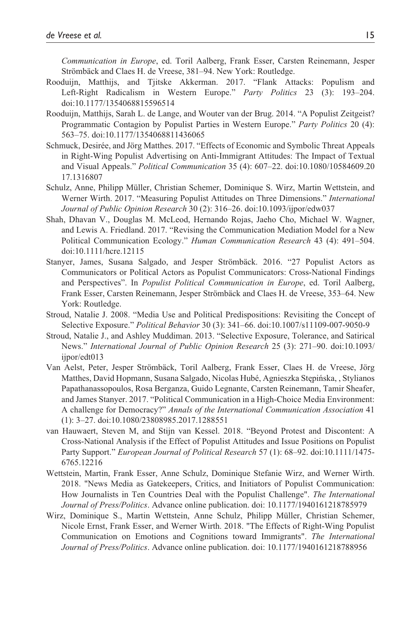*Communication in Europe*, ed. Toril Aalberg, Frank Esser, Carsten Reinemann, Jesper Strömbäck and Claes H. de Vreese, 381–94. New York: Routledge.

- Rooduijn, Matthijs, and Tjitske Akkerman. 2017. "Flank Attacks: Populism and Left-Right Radicalism in Western Europe." *Party Politics* 23 (3): 193–204. doi:10.1177/1354068815596514
- Rooduijn, Matthijs, Sarah L. de Lange, and Wouter van der Brug. 2014. "A Populist Zeitgeist? Programmatic Contagion by Populist Parties in Western Europe." *Party Politics* 20 (4): 563–75. doi:10.1177/1354068811436065
- Schmuck, Desirée, and Jörg Matthes. 2017. "Effects of Economic and Symbolic Threat Appeals in Right-Wing Populist Advertising on Anti-Immigrant Attitudes: The Impact of Textual and Visual Appeals." *Political Communication* 35 (4): 607–22. doi:10.1080/10584609.20 17.1316807
- Schulz, Anne, Philipp Müller, Christian Schemer, Dominique S. Wirz, Martin Wettstein, and Werner Wirth. 2017. "Measuring Populist Attitudes on Three Dimensions." *International Journal of Public Opinion Research* 30 (2): 316–26. doi:10.1093/ijpor/edw037
- Shah, Dhavan V., Douglas M. McLeod, Hernando Rojas, Jaeho Cho, Michael W. Wagner, and Lewis A. Friedland. 2017. "Revising the Communication Mediation Model for a New Political Communication Ecology." *Human Communication Research* 43 (4): 491–504. doi:10.1111/hcre.12115
- Stanyer, James, Susana Salgado, and Jesper Strömbäck. 2016. "27 Populist Actors as Communicators or Political Actors as Populist Communicators: Cross-National Findings and Perspectives". In *Populist Political Communication in Europe*, ed. Toril Aalberg, Frank Esser, Carsten Reinemann, Jesper Strömbäck and Claes H. de Vreese, 353–64. New York: Routledge.
- Stroud, Natalie J. 2008. "Media Use and Political Predispositions: Revisiting the Concept of Selective Exposure." *Political Behavior* 30 (3): 341–66. doi:10.1007/s11109-007-9050-9
- Stroud, Natalie J., and Ashley Muddiman. 2013. "Selective Exposure, Tolerance, and Satirical News." *International Journal of Public Opinion Research* 25 (3): 271–90. doi:10.1093/ ijpor/edt013
- Van Aelst, Peter, Jesper Strömbäck, Toril Aalberg, Frank Esser, Claes H. de Vreese, Jörg Matthes, David Hopmann, Susana Salgado, Nicolas Hubé, Agnieszka Stępińska, , Stylianos Papathanassopoulos, Rosa Berganza, Guido Legnante, Carsten Reinemann, Tamir Sheafer, and James Stanyer. 2017. "Political Communication in a High-Choice Media Environment: A challenge for Democracy?" *Annals of the International Communication Association* 41 (1): 3–27. doi:10.1080/23808985.2017.1288551
- van Hauwaert, Steven M, and Stijn van Kessel. 2018. "Beyond Protest and Discontent: A Cross-National Analysis if the Effect of Populist Attitudes and Issue Positions on Populist Party Support." *European Journal of Political Research* 57 (1): 68–92. doi:10.1111/1475- 6765.12216
- Wettstein, Martin, Frank Esser, Anne Schulz, Dominique Stefanie Wirz, and Werner Wirth. 2018. "News Media as Gatekeepers, Critics, and Initiators of Populist Communication: How Journalists in Ten Countries Deal with the Populist Challenge". *The International Journal of Press/Politics*. Advance online publication. doi: 10.1177/1940161218785979
- Wirz, Dominique S., Martin Wettstein, Anne Schulz, Philipp Müller, Christian Schemer, Nicole Ernst, Frank Esser, and Werner Wirth. 2018. "The Effects of Right-Wing Populist Communication on Emotions and Cognitions toward Immigrants". *The International Journal of Press/Politics*. Advance online publication. doi: 10.1177/1940161218788956